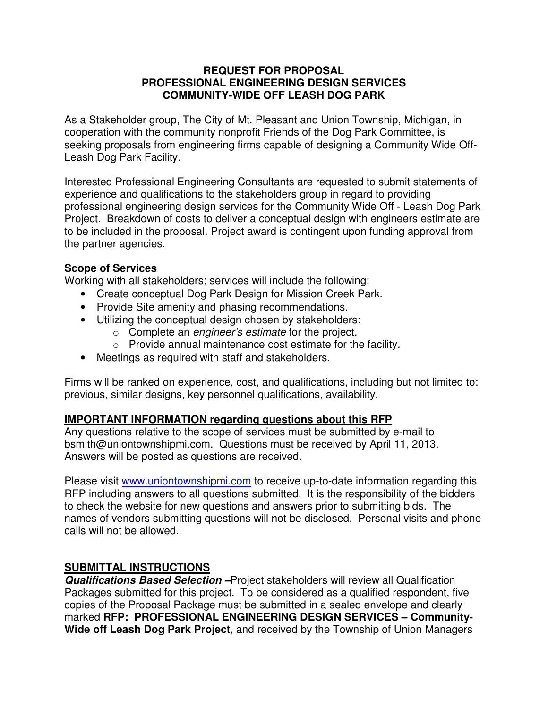#### **REQUEST FOR PROPOSAL PROFESSIONAL ENGINEERING DESIGN SERVICES COMMUNITY-WIDE OFF LEASH DOG PARK**

As a Stakeholder group, The City of Mt. Pleasant and Union Township, Michigan, in cooperation with the community nonprofit Friends of the Dog Park Committee, is seeking proposals from engineering firms capable of designing a Community Wide Off-Leash Dog Park Facility.

Interested Professional Engineering Consultants are requested to submit statements of experience and qualifications to the stakeholders group in regard to providing professional engineering design services for the Community Wide Off - Leash Dog Park Project. Breakdown of costs to deliver a conceptual design with engineers estimate are to be included in the proposal. Project award is contingent upon funding approval from the partner agencies.

#### **Scope of Services**

Working with all stakeholders; services will include the following:

- Create conceptual Dog Park Design for Mission Creek Park.
- Provide Site amenity and phasing recommendations.
- Utilizing the conceptual design chosen by stakeholders:
	- o Complete an *engineer's estimate* for the project.
	- o Provide annual maintenance cost estimate for the facility.
- Meetings as required with staff and stakeholders.

Firms will be ranked on experience, cost, and qualifications, including but not limited to: previous, similar designs, key personnel qualifications, availability.

#### **IMPORTANT INFORMATION regarding questions about this RFP**

Any questions relative to the scope of services must be submitted by e-mail to bsmith@uniontownshipmi.com. Questions must be received by April 11, 2013. Answers will be posted as questions are received.

Please visit www.uniontownshipmi.com to receive up-to-date information regarding this RFP including answers to all questions submitted. It is the responsibility of the bidders to check the website for new questions and answers prior to submitting bids. The names of vendors submitting questions will not be disclosed. Personal visits and phone calls will not be allowed.

# **SUBMITTAL INSTRUCTIONS**

**Qualifications Based Selection –**Project stakeholders will review all Qualification Packages submitted for this project. To be considered as a qualified respondent, five copies of the Proposal Package must be submitted in a sealed envelope and clearly marked **RFP: PROFESSIONAL ENGINEERING DESIGN SERVICES – Community-Wide off Leash Dog Park Project**, and received by the Township of Union Managers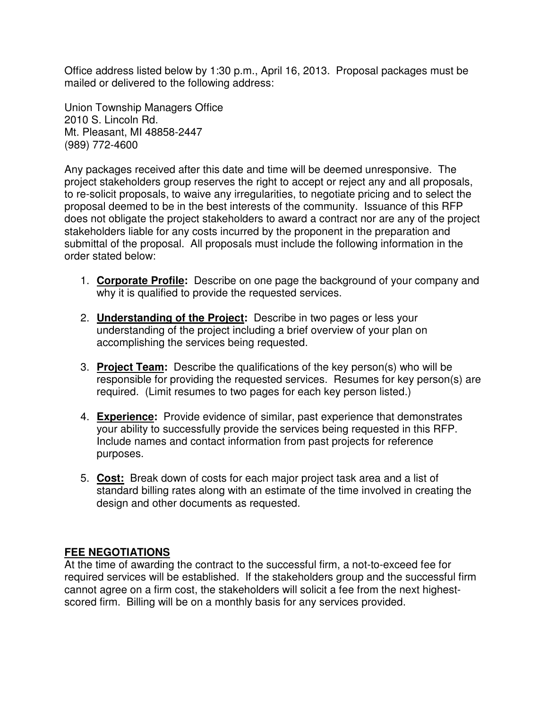Office address listed below by 1:30 p.m., April 16, 2013. Proposal packages must be mailed or delivered to the following address:

Union Township Managers Office 2010 S. Lincoln Rd. Mt. Pleasant, MI 48858-2447 (989) 772-4600

Any packages received after this date and time will be deemed unresponsive. The project stakeholders group reserves the right to accept or reject any and all proposals, to re-solicit proposals, to waive any irregularities, to negotiate pricing and to select the proposal deemed to be in the best interests of the community. Issuance of this RFP does not obligate the project stakeholders to award a contract nor are any of the project stakeholders liable for any costs incurred by the proponent in the preparation and submittal of the proposal. All proposals must include the following information in the order stated below:

- 1. **Corporate Profile:** Describe on one page the background of your company and why it is qualified to provide the requested services.
- 2. **Understanding of the Project:** Describe in two pages or less your understanding of the project including a brief overview of your plan on accomplishing the services being requested.
- 3. **Project Team:** Describe the qualifications of the key person(s) who will be responsible for providing the requested services. Resumes for key person(s) are required. (Limit resumes to two pages for each key person listed.)
- 4. **Experience:** Provide evidence of similar, past experience that demonstrates your ability to successfully provide the services being requested in this RFP. Include names and contact information from past projects for reference purposes.
- 5. **Cost:** Break down of costs for each major project task area and a list of standard billing rates along with an estimate of the time involved in creating the design and other documents as requested.

# **FEE NEGOTIATIONS**

At the time of awarding the contract to the successful firm, a not-to-exceed fee for required services will be established. If the stakeholders group and the successful firm cannot agree on a firm cost, the stakeholders will solicit a fee from the next highestscored firm. Billing will be on a monthly basis for any services provided.